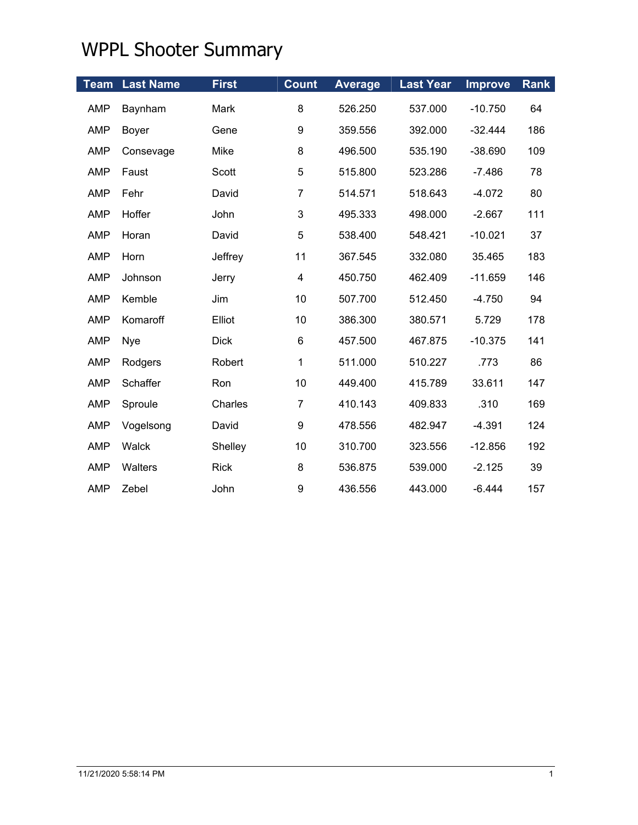| <b>Team</b> | <b>Last Name</b> | <b>First</b> | <b>Count</b>            | <b>Average</b> | <b>Last Year</b> | <b>Improve</b> | <b>Rank</b> |
|-------------|------------------|--------------|-------------------------|----------------|------------------|----------------|-------------|
| <b>AMP</b>  | Baynham          | Mark         | 8                       | 526.250        | 537.000          | $-10.750$      | 64          |
| <b>AMP</b>  | Boyer            | Gene         | $\boldsymbol{9}$        | 359.556        | 392.000          | $-32.444$      | 186         |
| <b>AMP</b>  | Consevage        | Mike         | 8                       | 496.500        | 535.190          | $-38.690$      | 109         |
| <b>AMP</b>  | Faust            | Scott        | 5                       | 515.800        | 523.286          | $-7.486$       | 78          |
| <b>AMP</b>  | Fehr             | David        | $\overline{7}$          | 514.571        | 518.643          | $-4.072$       | 80          |
| <b>AMP</b>  | Hoffer           | John         | 3                       | 495.333        | 498.000          | $-2.667$       | 111         |
| <b>AMP</b>  | Horan            | David        | 5                       | 538.400        | 548.421          | $-10.021$      | 37          |
| <b>AMP</b>  | Horn             | Jeffrey      | 11                      | 367.545        | 332.080          | 35.465         | 183         |
| <b>AMP</b>  | Johnson          | Jerry        | $\overline{\mathbf{4}}$ | 450.750        | 462.409          | $-11.659$      | 146         |
| <b>AMP</b>  | Kemble           | Jim          | 10                      | 507.700        | 512.450          | $-4.750$       | 94          |
| <b>AMP</b>  | Komaroff         | Elliot       | 10                      | 386.300        | 380.571          | 5.729          | 178         |
| <b>AMP</b>  | Nye              | <b>Dick</b>  | 6                       | 457.500        | 467.875          | $-10.375$      | 141         |
| <b>AMP</b>  | Rodgers          | Robert       | 1                       | 511.000        | 510.227          | .773           | 86          |
| <b>AMP</b>  | Schaffer         | Ron          | 10                      | 449.400        | 415.789          | 33.611         | 147         |
| <b>AMP</b>  | Sproule          | Charles      | $\overline{7}$          | 410.143        | 409.833          | .310           | 169         |
| <b>AMP</b>  | Vogelsong        | David        | 9                       | 478.556        | 482.947          | $-4.391$       | 124         |
| <b>AMP</b>  | Walck            | Shelley      | 10                      | 310.700        | 323.556          | $-12.856$      | 192         |
| <b>AMP</b>  | Walters          | <b>Rick</b>  | 8                       | 536.875        | 539.000          | $-2.125$       | 39          |
| <b>AMP</b>  | Zebel            | John         | $\boldsymbol{9}$        | 436.556        | 443.000          | $-6.444$       | 157         |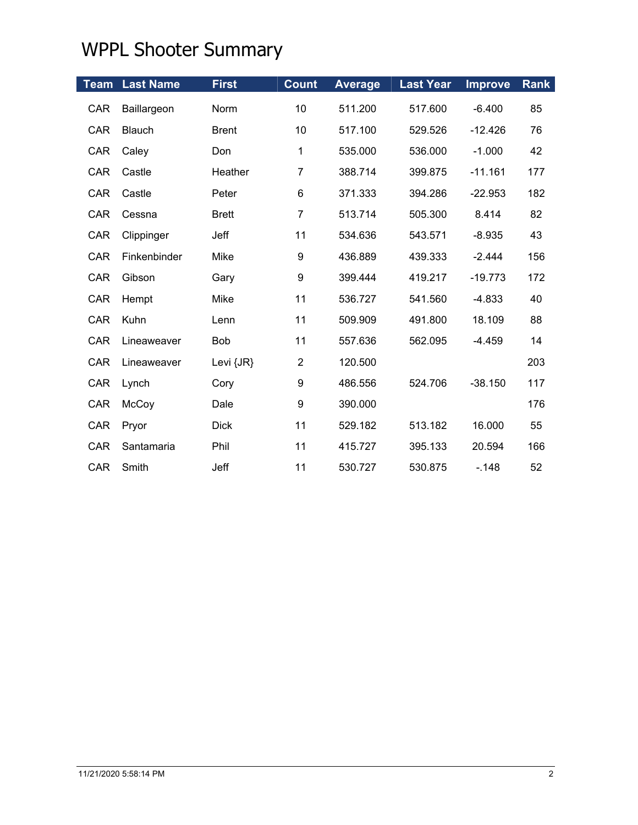|            | <b>Team Last Name</b> | <b>First</b> | <b>Count</b>     | <b>Average</b> | <b>Last Year</b> | <b>Improve</b> | <b>Rank</b> |
|------------|-----------------------|--------------|------------------|----------------|------------------|----------------|-------------|
| <b>CAR</b> | Baillargeon           | Norm         | 10               | 511.200        | 517.600          | $-6.400$       | 85          |
| <b>CAR</b> | <b>Blauch</b>         | <b>Brent</b> | 10               | 517.100        | 529.526          | $-12.426$      | 76          |
| <b>CAR</b> | Caley                 | Don          | 1                | 535.000        | 536.000          | $-1.000$       | 42          |
| <b>CAR</b> | Castle                | Heather      | $\overline{7}$   | 388.714        | 399.875          | $-11.161$      | 177         |
| <b>CAR</b> | Castle                | Peter        | 6                | 371.333        | 394.286          | $-22.953$      | 182         |
| <b>CAR</b> | Cessna                | <b>Brett</b> | $\overline{7}$   | 513.714        | 505.300          | 8.414          | 82          |
| <b>CAR</b> | Clippinger            | Jeff         | 11               | 534.636        | 543.571          | $-8.935$       | 43          |
| CAR        | Finkenbinder          | Mike         | $\boldsymbol{9}$ | 436.889        | 439.333          | $-2.444$       | 156         |
| <b>CAR</b> | Gibson                | Gary         | $\boldsymbol{9}$ | 399.444        | 419.217          | $-19.773$      | 172         |
| CAR        | Hempt                 | Mike         | 11               | 536.727        | 541.560          | $-4.833$       | 40          |
| <b>CAR</b> | Kuhn                  | Lenn         | 11               | 509.909        | 491.800          | 18.109         | 88          |
| <b>CAR</b> | Lineaweaver           | <b>Bob</b>   | 11               | 557.636        | 562.095          | $-4.459$       | 14          |
| CAR        | Lineaweaver           | Levi {JR}    | $\overline{2}$   | 120.500        |                  |                | 203         |
| CAR        | Lynch                 | Cory         | 9                | 486.556        | 524.706          | $-38.150$      | 117         |
| CAR        | McCoy                 | Dale         | 9                | 390.000        |                  |                | 176         |
| <b>CAR</b> | Pryor                 | <b>Dick</b>  | 11               | 529.182        | 513.182          | 16.000         | 55          |
| <b>CAR</b> | Santamaria            | Phil         | 11               | 415.727        | 395.133          | 20.594         | 166         |
| <b>CAR</b> | Smith                 | Jeff         | 11               | 530.727        | 530.875          | $-.148$        | 52          |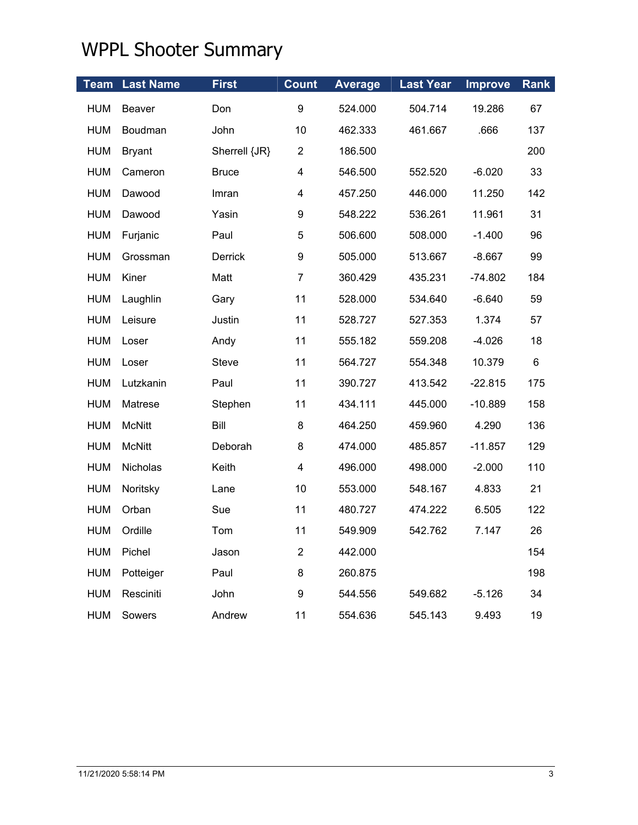| Team       | <b>Last Name</b> | <b>First</b>  | <b>Count</b>     | <b>Average</b> | <b>Last Year</b> | <b>Improve</b> | <b>Rank</b> |
|------------|------------------|---------------|------------------|----------------|------------------|----------------|-------------|
| <b>HUM</b> | Beaver           | Don           | 9                | 524.000        | 504.714          | 19.286         | 67          |
| <b>HUM</b> | Boudman          | John          | 10               | 462.333        | 461.667          | .666           | 137         |
| <b>HUM</b> | <b>Bryant</b>    | Sherrell {JR} | $\overline{2}$   | 186.500        |                  |                | 200         |
| <b>HUM</b> | Cameron          | <b>Bruce</b>  | 4                | 546.500        | 552.520          | $-6.020$       | 33          |
| <b>HUM</b> | Dawood           | Imran         | 4                | 457.250        | 446.000          | 11.250         | 142         |
| <b>HUM</b> | Dawood           | Yasin         | 9                | 548.222        | 536.261          | 11.961         | 31          |
| <b>HUM</b> | Furjanic         | Paul          | $\mathbf 5$      | 506.600        | 508.000          | $-1.400$       | 96          |
| <b>HUM</b> | Grossman         | Derrick       | $\boldsymbol{9}$ | 505.000        | 513.667          | $-8.667$       | 99          |
| <b>HUM</b> | Kiner            | Matt          | $\overline{7}$   | 360.429        | 435.231          | $-74.802$      | 184         |
| <b>HUM</b> | Laughlin         | Gary          | 11               | 528.000        | 534.640          | $-6.640$       | 59          |
| <b>HUM</b> | Leisure          | Justin        | 11               | 528.727        | 527.353          | 1.374          | 57          |
| <b>HUM</b> | Loser            | Andy          | 11               | 555.182        | 559.208          | $-4.026$       | 18          |
| <b>HUM</b> | Loser            | Steve         | 11               | 564.727        | 554.348          | 10.379         | 6           |
| <b>HUM</b> | Lutzkanin        | Paul          | 11               | 390.727        | 413.542          | $-22.815$      | 175         |
| <b>HUM</b> | Matrese          | Stephen       | 11               | 434.111        | 445.000          | $-10.889$      | 158         |
| <b>HUM</b> | <b>McNitt</b>    | Bill          | 8                | 464.250        | 459.960          | 4.290          | 136         |
| <b>HUM</b> | <b>McNitt</b>    | Deborah       | 8                | 474.000        | 485.857          | $-11.857$      | 129         |
| <b>HUM</b> | Nicholas         | Keith         | 4                | 496.000        | 498.000          | $-2.000$       | 110         |
| <b>HUM</b> | Noritsky         | Lane          | 10               | 553.000        | 548.167          | 4.833          | 21          |
| <b>HUM</b> | Orban            | Sue           | 11               | 480.727        | 474.222          | 6.505          | 122         |
| <b>HUM</b> | Ordille          | Tom           | 11               | 549.909        | 542.762          | 7.147          | 26          |
| <b>HUM</b> | Pichel           | Jason         | $\overline{2}$   | 442.000        |                  |                | 154         |
| <b>HUM</b> | Potteiger        | Paul          | 8                | 260.875        |                  |                | 198         |
| <b>HUM</b> | Resciniti        | John          | 9                | 544.556        | 549.682          | $-5.126$       | 34          |
| <b>HUM</b> | Sowers           | Andrew        | 11               | 554.636        | 545.143          | 9.493          | 19          |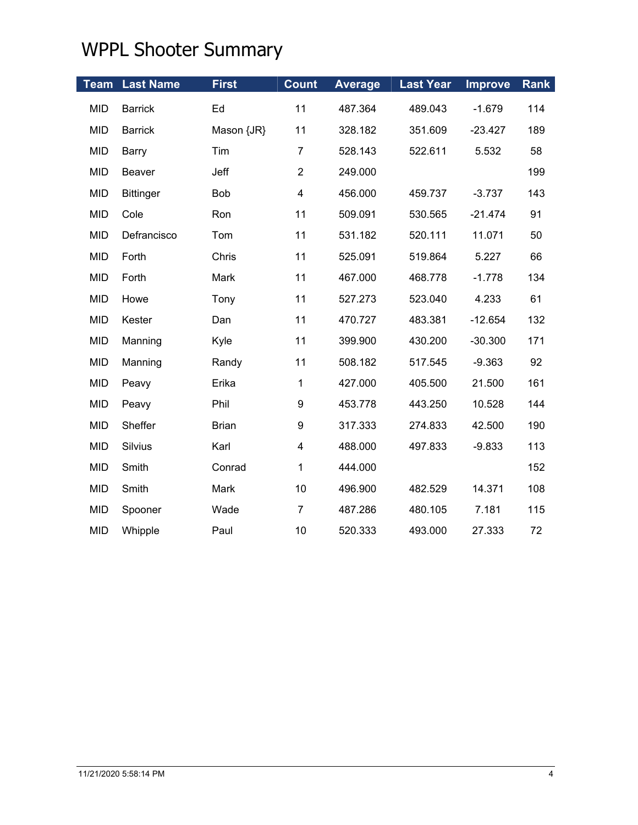| <b>Team</b> | <b>Last Name</b> | <b>First</b> | <b>Count</b>            | <b>Average</b> | <b>Last Year</b> | <b>Improve</b> | Rank |
|-------------|------------------|--------------|-------------------------|----------------|------------------|----------------|------|
| <b>MID</b>  | <b>Barrick</b>   | Ed           | 11                      | 487.364        | 489.043          | $-1.679$       | 114  |
| <b>MID</b>  | <b>Barrick</b>   | Mason {JR}   | 11                      | 328.182        | 351.609          | $-23.427$      | 189  |
| <b>MID</b>  | <b>Barry</b>     | Tim          | $\overline{7}$          | 528.143        | 522.611          | 5.532          | 58   |
| <b>MID</b>  | Beaver           | Jeff         | $\overline{2}$          | 249.000        |                  |                | 199  |
| <b>MID</b>  | <b>Bittinger</b> | Bob          | $\overline{\mathbf{4}}$ | 456.000        | 459.737          | $-3.737$       | 143  |
| <b>MID</b>  | Cole             | Ron          | 11                      | 509.091        | 530.565          | $-21.474$      | 91   |
| <b>MID</b>  | Defrancisco      | Tom          | 11                      | 531.182        | 520.111          | 11.071         | 50   |
| <b>MID</b>  | Forth            | Chris        | 11                      | 525.091        | 519.864          | 5.227          | 66   |
| <b>MID</b>  | Forth            | Mark         | 11                      | 467.000        | 468.778          | $-1.778$       | 134  |
| <b>MID</b>  | Howe             | Tony         | 11                      | 527.273        | 523.040          | 4.233          | 61   |
| <b>MID</b>  | Kester           | Dan          | 11                      | 470.727        | 483.381          | $-12.654$      | 132  |
| <b>MID</b>  | Manning          | Kyle         | 11                      | 399.900        | 430.200          | $-30.300$      | 171  |
| <b>MID</b>  | Manning          | Randy        | 11                      | 508.182        | 517.545          | $-9.363$       | 92   |
| <b>MID</b>  | Peavy            | Erika        | 1                       | 427.000        | 405.500          | 21.500         | 161  |
| <b>MID</b>  | Peavy            | Phil         | 9                       | 453.778        | 443.250          | 10.528         | 144  |
| <b>MID</b>  | Sheffer          | <b>Brian</b> | 9                       | 317.333        | 274.833          | 42.500         | 190  |
| <b>MID</b>  | Silvius          | Karl         | $\overline{\mathbf{4}}$ | 488.000        | 497.833          | $-9.833$       | 113  |
| <b>MID</b>  | Smith            | Conrad       | 1                       | 444.000        |                  |                | 152  |
| <b>MID</b>  | Smith            | Mark         | 10                      | 496.900        | 482.529          | 14.371         | 108  |
| <b>MID</b>  | Spooner          | Wade         | $\overline{7}$          | 487.286        | 480.105          | 7.181          | 115  |
| <b>MID</b>  | Whipple          | Paul         | 10                      | 520.333        | 493.000          | 27.333         | 72   |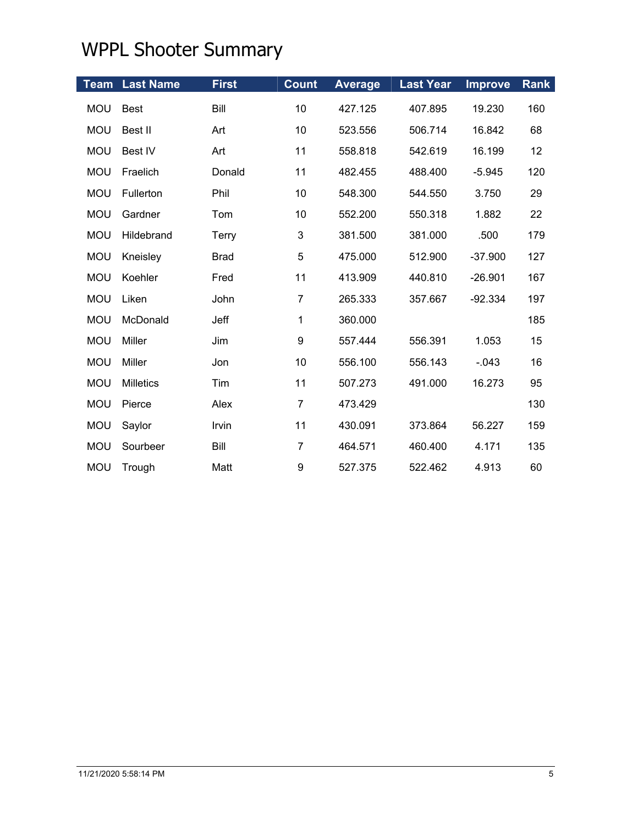|            | <b>Team Last Name</b> | <b>First</b> | <b>Count</b>              | <b>Average</b> | <b>Last Year</b> | <b>Improve</b> | <b>Rank</b> |
|------------|-----------------------|--------------|---------------------------|----------------|------------------|----------------|-------------|
| <b>MOU</b> | <b>Best</b>           | Bill         | 10                        | 427.125        | 407.895          | 19.230         | 160         |
| <b>MOU</b> | Best II               | Art          | 10                        | 523.556        | 506.714          | 16.842         | 68          |
| <b>MOU</b> | <b>Best IV</b>        | Art          | 11                        | 558.818        | 542.619          | 16.199         | 12          |
| <b>MOU</b> | Fraelich              | Donald       | 11                        | 482.455        | 488.400          | $-5.945$       | 120         |
| <b>MOU</b> | Fullerton             | Phil         | 10                        | 548.300        | 544.550          | 3.750          | 29          |
| <b>MOU</b> | Gardner               | Tom          | 10                        | 552.200        | 550.318          | 1.882          | 22          |
| <b>MOU</b> | Hildebrand            | <b>Terry</b> | $\ensuremath{\mathsf{3}}$ | 381.500        | 381.000          | .500           | 179         |
| <b>MOU</b> | Kneisley              | <b>Brad</b>  | 5                         | 475.000        | 512.900          | $-37.900$      | 127         |
| <b>MOU</b> | Koehler               | Fred         | 11                        | 413.909        | 440.810          | $-26.901$      | 167         |
| <b>MOU</b> | Liken                 | John         | $\overline{7}$            | 265.333        | 357.667          | $-92.334$      | 197         |
| <b>MOU</b> | McDonald              | Jeff         | 1                         | 360.000        |                  |                | 185         |
| <b>MOU</b> | Miller                | Jim          | 9                         | 557.444        | 556.391          | 1.053          | 15          |
| <b>MOU</b> | Miller                | Jon          | 10                        | 556.100        | 556.143          | $-.043$        | 16          |
| <b>MOU</b> | <b>Milletics</b>      | Tim          | 11                        | 507.273        | 491.000          | 16.273         | 95          |
| <b>MOU</b> | Pierce                | Alex         | $\overline{7}$            | 473.429        |                  |                | 130         |
| <b>MOU</b> | Saylor                | Irvin        | 11                        | 430.091        | 373.864          | 56.227         | 159         |
| <b>MOU</b> | Sourbeer              | Bill         | $\overline{7}$            | 464.571        | 460.400          | 4.171          | 135         |
| <b>MOU</b> | Trough                | Matt         | 9                         | 527.375        | 522.462          | 4.913          | 60          |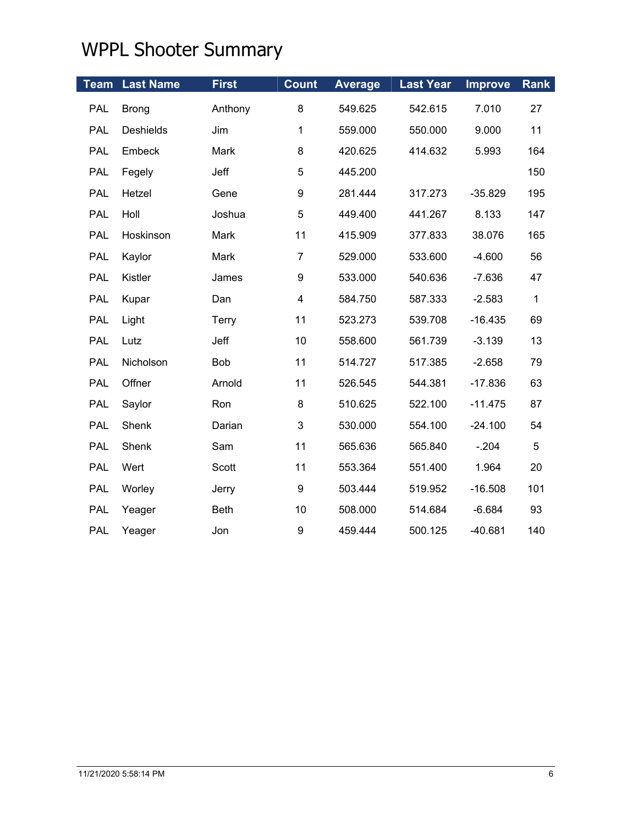|            | <b>Team Last Name</b> | <b>First</b> | <b>Count</b>     | <b>Average</b> | <b>Last Year</b> | <b>Improve</b> | <b>Rank</b> |
|------------|-----------------------|--------------|------------------|----------------|------------------|----------------|-------------|
| PAL        | <b>Brong</b>          | Anthony      | 8                | 549.625        | 542.615          | 7.010          | 27          |
| PAL        | <b>Deshields</b>      | Jim          | $\mathbf{1}$     | 559.000        | 550.000          | 9.000          | 11          |
| PAL        | Embeck                | Mark         | 8                | 420.625        | 414.632          | 5.993          | 164         |
| PAL        | Fegely                | Jeff         | $\mathbf 5$      | 445.200        |                  |                | 150         |
| <b>PAL</b> | Hetzel                | Gene         | $\boldsymbol{9}$ | 281.444        | 317.273          | $-35.829$      | 195         |
| <b>PAL</b> | Holl                  | Joshua       | 5                | 449.400        | 441.267          | 8.133          | 147         |
| <b>PAL</b> | Hoskinson             | Mark         | 11               | 415.909        | 377.833          | 38.076         | 165         |
| PAL        | Kaylor                | Mark         | $\overline{7}$   | 529.000        | 533.600          | $-4.600$       | 56          |
| <b>PAL</b> | Kistler               | James        | $\boldsymbol{9}$ | 533.000        | 540.636          | $-7.636$       | 47          |
| <b>PAL</b> | Kupar                 | Dan          | 4                | 584.750        | 587.333          | $-2.583$       | $\mathbf 1$ |
| <b>PAL</b> | Light                 | <b>Terry</b> | 11               | 523.273        | 539.708          | $-16.435$      | 69          |
| PAL        | Lutz                  | Jeff         | 10               | 558.600        | 561.739          | $-3.139$       | 13          |
| <b>PAL</b> | Nicholson             | Bob          | 11               | 514.727        | 517.385          | $-2.658$       | 79          |
| <b>PAL</b> | Offner                | Arnold       | 11               | 526.545        | 544.381          | $-17.836$      | 63          |
| PAL        | Saylor                | Ron          | 8                | 510.625        | 522.100          | $-11.475$      | 87          |
| PAL        | Shenk                 | Darian       | 3                | 530.000        | 554.100          | $-24.100$      | 54          |
| PAL        | Shenk                 | Sam          | 11               | 565.636        | 565.840          | $-.204$        | 5           |
| <b>PAL</b> | Wert                  | Scott        | 11               | 553.364        | 551.400          | 1.964          | 20          |
| PAL        | Worley                | Jerry        | 9                | 503.444        | 519.952          | $-16.508$      | 101         |
| <b>PAL</b> | Yeager                | <b>Beth</b>  | 10               | 508.000        | 514.684          | $-6.684$       | 93          |
| <b>PAL</b> | Yeager                | Jon          | 9                | 459.444        | 500.125          | $-40.681$      | 140         |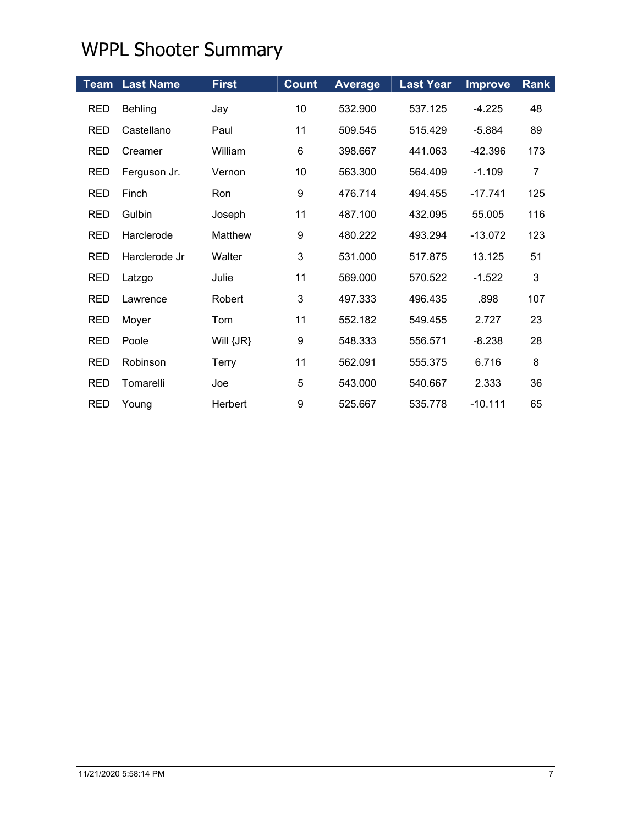|            | <b>Team Last Name</b> | <b>First</b>  | <b>Count</b> | <b>Average</b> | <b>Last Year</b> | <b>Improve</b> | <b>Rank</b>    |
|------------|-----------------------|---------------|--------------|----------------|------------------|----------------|----------------|
| <b>RED</b> | Behling               | Jay           | 10           | 532.900        | 537.125          | $-4.225$       | 48             |
| <b>RED</b> | Castellano            | Paul          | 11           | 509.545        | 515.429          | $-5.884$       | 89             |
| <b>RED</b> | Creamer               | William       | 6            | 398.667        | 441.063          | $-42.396$      | 173            |
| <b>RED</b> | Ferguson Jr.          | Vernon        | 10           | 563.300        | 564.409          | $-1.109$       | $\overline{7}$ |
| <b>RED</b> | Finch                 | Ron           | 9            | 476.714        | 494.455          | $-17.741$      | 125            |
| <b>RED</b> | Gulbin                | Joseph        | 11           | 487.100        | 432.095          | 55.005         | 116            |
| <b>RED</b> | Harclerode            | Matthew       | 9            | 480.222        | 493.294          | $-13.072$      | 123            |
| <b>RED</b> | Harclerode Jr         | Walter        | 3            | 531.000        | 517.875          | 13.125         | 51             |
| <b>RED</b> | Latzgo                | Julie         | 11           | 569.000        | 570.522          | $-1.522$       | 3              |
| <b>RED</b> | Lawrence              | Robert        | 3            | 497.333        | 496.435          | .898           | 107            |
| <b>RED</b> | Moyer                 | Tom           | 11           | 552.182        | 549.455          | 2.727          | 23             |
| <b>RED</b> | Poole                 | Will $\{JR\}$ | 9            | 548.333        | 556.571          | $-8.238$       | 28             |
| <b>RED</b> | Robinson              | Terry         | 11           | 562.091        | 555.375          | 6.716          | 8              |
| <b>RED</b> | Tomarelli             | Joe           | 5            | 543.000        | 540.667          | 2.333          | 36             |
| <b>RED</b> | Young                 | Herbert       | 9            | 525.667        | 535.778          | $-10.111$      | 65             |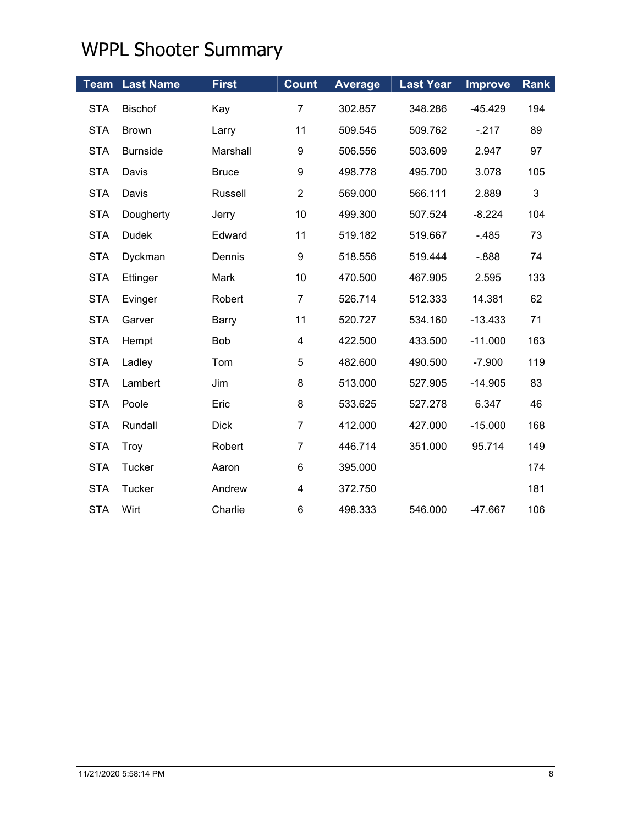|            | <b>Team Last Name</b> | <b>First</b>   | <b>Count</b>            | <b>Average</b> | <b>Last Year</b> | <b>Improve</b> | <b>Rank</b>  |
|------------|-----------------------|----------------|-------------------------|----------------|------------------|----------------|--------------|
| <b>STA</b> | <b>Bischof</b>        | Kay            | $\overline{7}$          | 302.857        | 348.286          | $-45.429$      | 194          |
| <b>STA</b> | <b>Brown</b>          | Larry          | 11                      | 509.545        | 509.762          | $-217$         | 89           |
| <b>STA</b> | <b>Burnside</b>       | Marshall       | 9                       | 506.556        | 503.609          | 2.947          | 97           |
| <b>STA</b> | Davis                 | <b>Bruce</b>   | 9                       | 498.778        | 495.700          | 3.078          | 105          |
| <b>STA</b> | Davis                 | <b>Russell</b> | $\overline{2}$          | 569.000        | 566.111          | 2.889          | $\mathbf{3}$ |
| <b>STA</b> | Dougherty             | Jerry          | 10                      | 499.300        | 507.524          | $-8.224$       | 104          |
| <b>STA</b> | <b>Dudek</b>          | Edward         | 11                      | 519.182        | 519.667          | $-485$         | 73           |
| <b>STA</b> | Dyckman               | Dennis         | 9                       | 518.556        | 519.444          | $-0.888$       | 74           |
| <b>STA</b> | Ettinger              | Mark           | 10                      | 470.500        | 467.905          | 2.595          | 133          |
| <b>STA</b> | Evinger               | Robert         | $\overline{7}$          | 526.714        | 512.333          | 14.381         | 62           |
| <b>STA</b> | Garver                | Barry          | 11                      | 520.727        | 534.160          | $-13.433$      | 71           |
| <b>STA</b> | Hempt                 | <b>Bob</b>     | $\overline{\mathbf{4}}$ | 422.500        | 433.500          | $-11.000$      | 163          |
| <b>STA</b> | Ladley                | Tom            | 5                       | 482.600        | 490.500          | $-7.900$       | 119          |
| <b>STA</b> | Lambert               | Jim            | 8                       | 513.000        | 527.905          | $-14.905$      | 83           |
| <b>STA</b> | Poole                 | Eric           | 8                       | 533.625        | 527.278          | 6.347          | 46           |
| <b>STA</b> | Rundall               | <b>Dick</b>    | $\overline{7}$          | 412.000        | 427.000          | $-15.000$      | 168          |
| <b>STA</b> | Troy                  | Robert         | $\overline{7}$          | 446.714        | 351.000          | 95.714         | 149          |
| <b>STA</b> | Tucker                | Aaron          | 6                       | 395.000        |                  |                | 174          |
| <b>STA</b> | Tucker                | Andrew         | 4                       | 372.750        |                  |                | 181          |
| <b>STA</b> | Wirt                  | Charlie        | 6                       | 498.333        | 546.000          | -47.667        | 106          |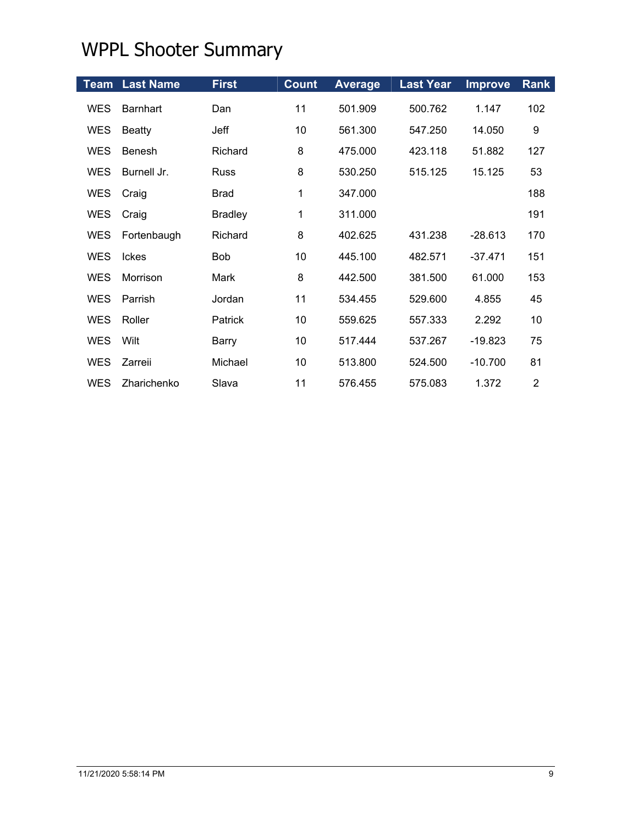|            | <b>Team Last Name</b> | <b>First</b>   | <b>Count</b> | <b>Average</b> | <b>Last Year</b> | <b>Improve</b> | <b>Rank</b>    |
|------------|-----------------------|----------------|--------------|----------------|------------------|----------------|----------------|
| <b>WES</b> | <b>Barnhart</b>       | Dan            | 11           | 501.909        | 500.762          | 1.147          | 102            |
| <b>WES</b> | <b>Beatty</b>         | Jeff           | 10           | 561.300        | 547.250          | 14.050         | 9              |
| <b>WES</b> | <b>Benesh</b>         | Richard        | 8            | 475.000        | 423.118          | 51.882         | 127            |
| <b>WES</b> | Burnell Jr.           | <b>Russ</b>    | 8            | 530.250        | 515.125          | 15.125         | 53             |
| <b>WES</b> | Craig                 | <b>Brad</b>    | 1            | 347.000        |                  |                | 188            |
| <b>WES</b> | Craig                 | <b>Bradley</b> | 1            | 311.000        |                  |                | 191            |
| <b>WES</b> | Fortenbaugh           | Richard        | 8            | 402.625        | 431.238          | $-28.613$      | 170            |
| <b>WES</b> | Ickes                 | <b>Bob</b>     | 10           | 445.100        | 482.571          | $-37.471$      | 151            |
| <b>WES</b> | Morrison              | Mark           | 8            | 442.500        | 381.500          | 61.000         | 153            |
| <b>WES</b> | Parrish               | Jordan         | 11           | 534.455        | 529.600          | 4.855          | 45             |
| <b>WES</b> | Roller                | Patrick        | 10           | 559.625        | 557.333          | 2.292          | 10             |
| <b>WES</b> | Wilt                  | Barry          | 10           | 517.444        | 537.267          | $-19.823$      | 75             |
| <b>WES</b> | Zarreii               | Michael        | 10           | 513.800        | 524.500          | $-10.700$      | 81             |
| <b>WES</b> | Zharichenko           | Slava          | 11           | 576.455        | 575.083          | 1.372          | $\overline{2}$ |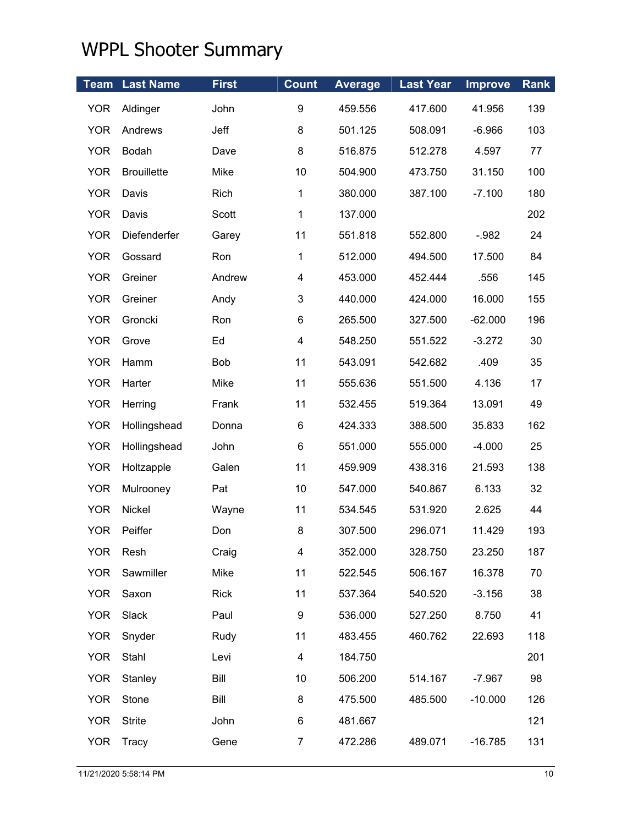| <b>Team</b> | <b>Last Name</b>   | <b>First</b> | <b>Count</b>            | <b>Average</b> | <b>Last Year</b> | <b>Improve</b> | <b>Rank</b> |
|-------------|--------------------|--------------|-------------------------|----------------|------------------|----------------|-------------|
| <b>YOR</b>  | Aldinger           | John         | 9                       | 459.556        | 417.600          | 41.956         | 139         |
| <b>YOR</b>  | Andrews            | Jeff         | 8                       | 501.125        | 508.091          | $-6.966$       | 103         |
| <b>YOR</b>  | Bodah              | Dave         | 8                       | 516.875        | 512.278          | 4.597          | 77          |
| <b>YOR</b>  | <b>Brouillette</b> | Mike         | 10                      | 504.900        | 473.750          | 31.150         | 100         |
| <b>YOR</b>  | Davis              | Rich         | $\mathbf 1$             | 380.000        | 387.100          | $-7.100$       | 180         |
| <b>YOR</b>  | Davis              | Scott        | $\mathbf 1$             | 137.000        |                  |                | 202         |
| <b>YOR</b>  | Diefenderfer       | Garey        | 11                      | 551.818        | 552.800          | $-.982$        | 24          |
| <b>YOR</b>  | Gossard            | Ron          | $\mathbf 1$             | 512.000        | 494.500          | 17.500         | 84          |
| <b>YOR</b>  | Greiner            | Andrew       | 4                       | 453.000        | 452.444          | .556           | 145         |
| <b>YOR</b>  | Greiner            | Andy         | 3                       | 440.000        | 424.000          | 16.000         | 155         |
| <b>YOR</b>  | Groncki            | Ron          | 6                       | 265.500        | 327.500          | $-62.000$      | 196         |
| <b>YOR</b>  | Grove              | Ed           | $\overline{\mathbf{4}}$ | 548.250        | 551.522          | $-3.272$       | 30          |
| <b>YOR</b>  | Hamm               | Bob          | 11                      | 543.091        | 542.682          | .409           | 35          |
| <b>YOR</b>  | Harter             | Mike         | 11                      | 555.636        | 551.500          | 4.136          | 17          |
| <b>YOR</b>  | Herring            | Frank        | 11                      | 532.455        | 519.364          | 13.091         | 49          |
| <b>YOR</b>  | Hollingshead       | Donna        | 6                       | 424.333        | 388.500          | 35.833         | 162         |
| <b>YOR</b>  | Hollingshead       | John         | 6                       | 551.000        | 555.000          | $-4.000$       | 25          |
| <b>YOR</b>  | Holtzapple         | Galen        | 11                      | 459.909        | 438.316          | 21.593         | 138         |
| <b>YOR</b>  | Mulrooney          | Pat          | 10                      | 547.000        | 540.867          | 6.133          | 32          |
| <b>YOR</b>  | Nickel             | Wayne        | 11                      | 534.545        | 531.920          | 2.625          | 44          |
| <b>YOR</b>  | Peiffer            | Don          | 8                       | 307.500        | 296.071          | 11.429         | 193         |
| <b>YOR</b>  | Resh               | Craig        | 4                       | 352.000        | 328.750          | 23.250         | 187         |
| <b>YOR</b>  | Sawmiller          | Mike         | 11                      | 522.545        | 506.167          | 16.378         | 70          |
| <b>YOR</b>  | Saxon              | <b>Rick</b>  | 11                      | 537.364        | 540.520          | $-3.156$       | 38          |
| <b>YOR</b>  | Slack              | Paul         | 9                       | 536.000        | 527.250          | 8.750          | 41          |
| <b>YOR</b>  | Snyder             | Rudy         | 11                      | 483.455        | 460.762          | 22.693         | 118         |
| <b>YOR</b>  | Stahl              | Levi         | 4                       | 184.750        |                  |                | 201         |
| <b>YOR</b>  | Stanley            | Bill         | 10                      | 506.200        | 514.167          | $-7.967$       | 98          |
| <b>YOR</b>  | Stone              | Bill         | 8                       | 475.500        | 485.500          | $-10.000$      | 126         |
| <b>YOR</b>  | <b>Strite</b>      | John         | 6                       | 481.667        |                  |                | 121         |
| <b>YOR</b>  | Tracy              | Gene         | $\overline{7}$          | 472.286        | 489.071          | $-16.785$      | 131         |
|             |                    |              |                         |                |                  |                |             |